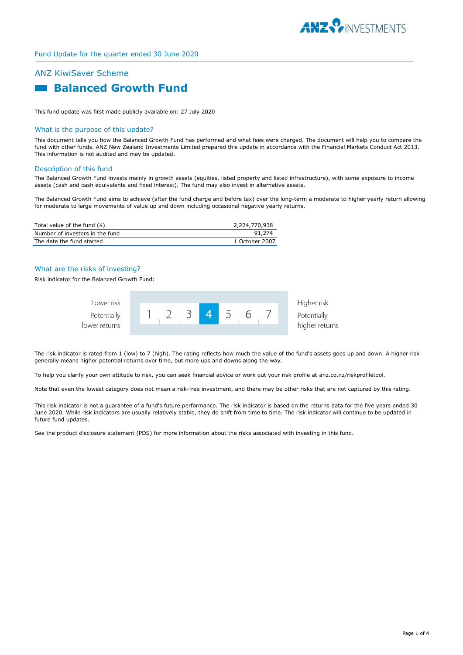

# ANZ KiwiSaver Scheme  **Balanced Growth Fund**

This fund update was first made publicly available on: 27 July 2020

#### What is the purpose of this update?

This document tells you how the Balanced Growth Fund has performed and what fees were charged. The document will help you to compare the fund with other funds. ANZ New Zealand Investments Limited prepared this update in accordance with the Financial Markets Conduct Act 2013. This information is not audited and may be updated.

#### Description of this fund

The Balanced Growth Fund invests mainly in growth assets (equities, listed property and listed infrastructure), with some exposure to income assets (cash and cash equivalents and fixed interest). The fund may also invest in alternative assets.

The Balanced Growth Fund aims to achieve (after the fund charge and before tax) over the long-term a moderate to higher yearly return allowing for moderate to large movements of value up and down including occasional negative yearly returns.

| Total value of the fund (\$)    | 2,224,770,938  |
|---------------------------------|----------------|
| Number of investors in the fund | 91.274         |
| The date the fund started       | 1 October 2007 |

## What are the risks of investing?

Risk indicator for the Balanced Growth Fund:



The risk indicator is rated from 1 (low) to 7 (high). The rating reflects how much the value of the fund's assets goes up and down. A higher risk generally means higher potential returns over time, but more ups and downs along the way.

To help you clarify your own attitude to risk, you can seek financial advice or work out your risk profile at anz.co.nz/riskprofiletool.

Note that even the lowest category does not mean a risk-free investment, and there may be other risks that are not captured by this rating.

This risk indicator is not a guarantee of a fund's future performance. The risk indicator is based on the returns data for the five years ended 30 June 2020. While risk indicators are usually relatively stable, they do shift from time to time. The risk indicator will continue to be updated in future fund updates.

See the product disclosure statement (PDS) for more information about the risks associated with investing in this fund.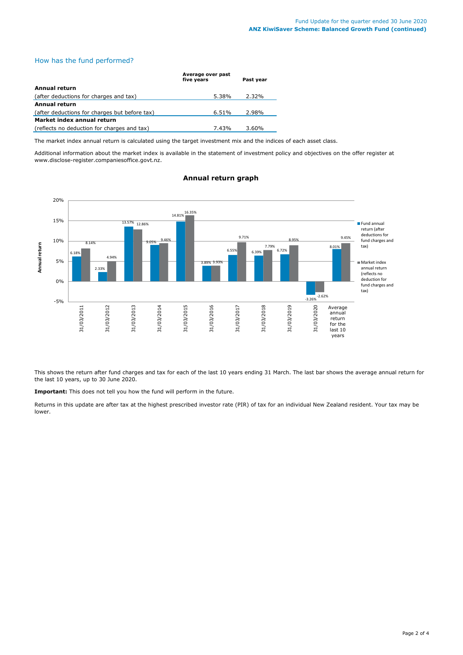# How has the fund performed?

|                                               | Average over past<br>five vears | Past vear |
|-----------------------------------------------|---------------------------------|-----------|
| Annual return                                 |                                 |           |
| (after deductions for charges and tax)        | 5.38%                           | 2.32%     |
| <b>Annual return</b>                          |                                 |           |
| (after deductions for charges but before tax) | 6.51%                           | 2.98%     |
| Market index annual return                    |                                 |           |
| (reflects no deduction for charges and tax)   | 7.43%                           | 3.60%     |

The market index annual return is calculated using the target investment mix and the indices of each asset class.

Additional information about the market index is available in the statement of investment policy and objectives on the offer register at www.disclose-register.companiesoffice.govt.nz.



# **Annual return graph**

This shows the return after fund charges and tax for each of the last 10 years ending 31 March. The last bar shows the average annual return for the last 10 years, up to 30 June 2020.

**Important:** This does not tell you how the fund will perform in the future.

Returns in this update are after tax at the highest prescribed investor rate (PIR) of tax for an individual New Zealand resident. Your tax may be lower.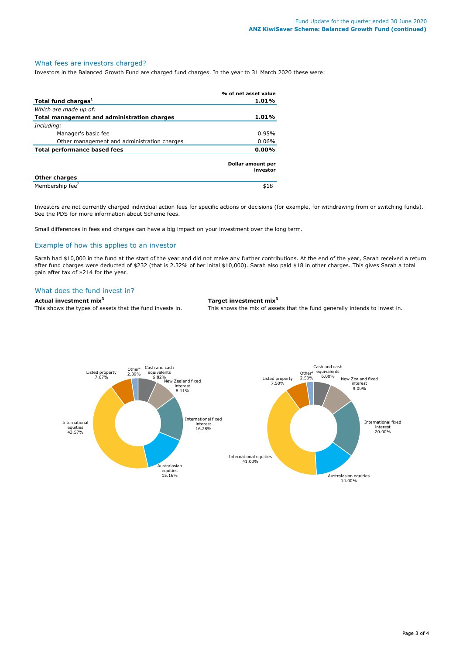#### What fees are investors charged?

Investors in the Balanced Growth Fund are charged fund charges. In the year to 31 March 2020 these were:

|                                             | % of net asset value          |
|---------------------------------------------|-------------------------------|
| Total fund charges <sup>1</sup>             | 1.01%                         |
| Which are made up of:                       |                               |
| Total management and administration charges | 1.01%                         |
| Including:                                  |                               |
| Manager's basic fee                         | 0.95%                         |
| Other management and administration charges | $0.06\%$                      |
| Total performance based fees                |                               |
|                                             | Dollar amount per<br>investor |
| <b>Other charges</b>                        |                               |
| Membership fee <sup>2</sup>                 | \$18                          |

Investors are not currently charged individual action fees for specific actions or decisions (for example, for withdrawing from or switching funds). See the PDS for more information about Scheme fees.

Small differences in fees and charges can have a big impact on your investment over the long term.

### Example of how this applies to an investor

Sarah had \$10,000 in the fund at the start of the year and did not make any further contributions. At the end of the year, Sarah received a return after fund charges were deducted of \$232 (that is 2.32% of her inital \$10,000). Sarah also paid \$18 in other charges. This gives Sarah a total gain after tax of \$214 for the year.

#### What does the fund invest in?

# **Actual investment mix<sup>3</sup> Target investment mix<sup>3</sup>**

This shows the types of assets that the fund invests in. This shows the mix of assets that the fund generally intends to invest in.